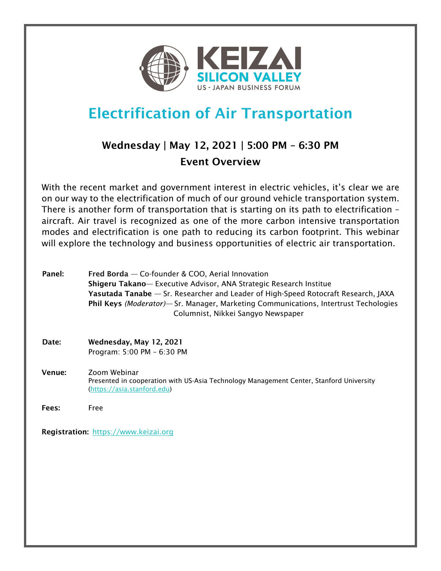

# Electrification of Air Transportation

## Wednesday | May 12, 2021 | 5:00 PM – 6:30 PM Event Overview

With the recent market and government interest in electric vehicles, it's clear we are on our way to the electrification of much of our ground vehicle transportation system. There is another form of transportation that is starting on its path to electrification – aircraft. Air travel is recognized as one of the more carbon intensive transportation modes and electrification is one path to reducing its carbon footprint. This webinar will explore the technology and business opportunities of electric air transportation.

| Panel: | Fred Borda - Co-founder & COO, Aerial Innovation<br>Shigeru Takano-Executive Advisor, ANA Strategic Research Institue<br>Yasutada Tanabe — Sr. Researcher and Leader of High-Speed Rotocraft Research, JAXA<br>Phil Keys (Moderator)— Sr. Manager, Marketing Communications, Intertrust Techologies<br>Columnist, Nikkei Sangyo Newspaper |
|--------|-------------------------------------------------------------------------------------------------------------------------------------------------------------------------------------------------------------------------------------------------------------------------------------------------------------------------------------------|
| Date:  | Wednesday, May 12, 2021<br>Program: 5:00 PM - 6:30 PM                                                                                                                                                                                                                                                                                     |
| Venue: | Zoom Webinar<br>Presented in cooperation with US-Asia Technology Management Center, Stanford University<br>(https://asia.stanford.edu)                                                                                                                                                                                                    |
| Fees:  | Free                                                                                                                                                                                                                                                                                                                                      |

Registration: https://www.keizai.org